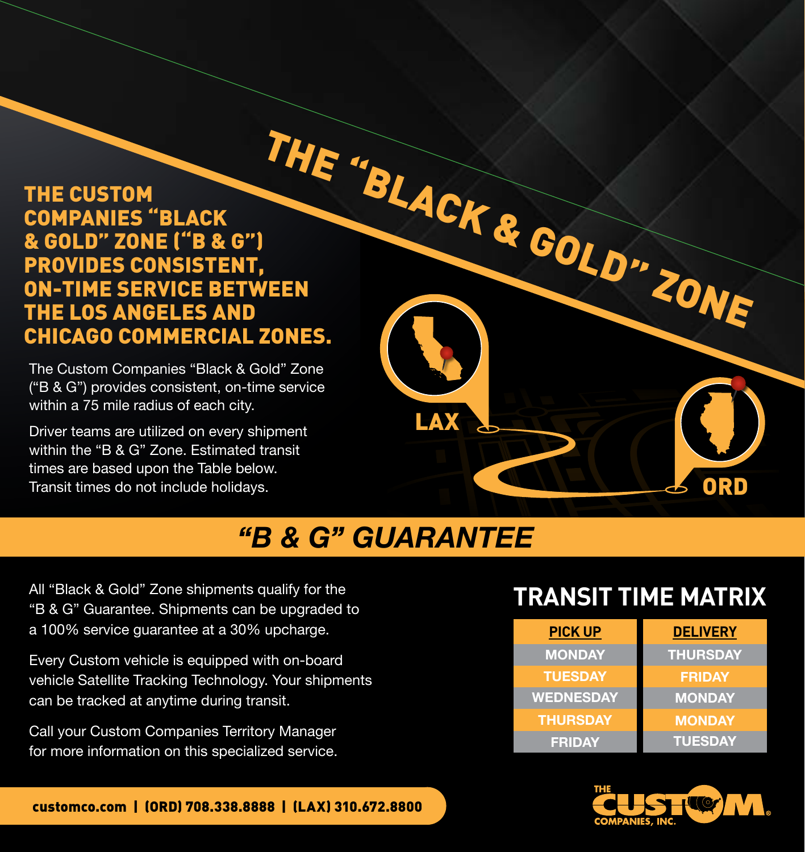### THE CUSTOM COMPANIES "BLACK & GOLD" ZONE ("B & G") PROVIDES CONSISTENT, ON-TIME SERVICE BETWEEN THE LOS ANGELES AND CHICAGO COMMERCIAL ZONES.

The Custom Companies "Black & Gold" Zone ("B & G") provides consistent, on-time service within a 75 mile radius of each city.

Driver teams are utilized on every shipment within the "B & G" Zone. Estimated transit times are based upon the Table below. Transit times do not include holidays.



# *"B & G" GUARANTEE*

All "Black & Gold" Zone shipments qualify for the "B & G" Guarantee. Shipments can be upgraded to a 100% service guarantee at a 30% upcharge.

Every Custom vehicle is equipped with on-board vehicle Satellite Tracking Technology. Your shipments can be tracked at anytime during transit.

Call your Custom Companies Territory Manager for more information on this specialized service.

## **TRANSIT TIME MATRIX**

| <b>PICK UP</b>   | <b>DELIVERY</b> |
|------------------|-----------------|
| <b>MONDAY</b>    | <b>THURSDAY</b> |
| <b>TUESDAY</b>   | <b>FRIDAY</b>   |
| <b>WEDNESDAY</b> | <b>MONDAY</b>   |
| <b>THURSDAY</b>  | <b>MONDAY</b>   |
| <b>FRIDAY</b>    | <b>TUESDAY</b>  |